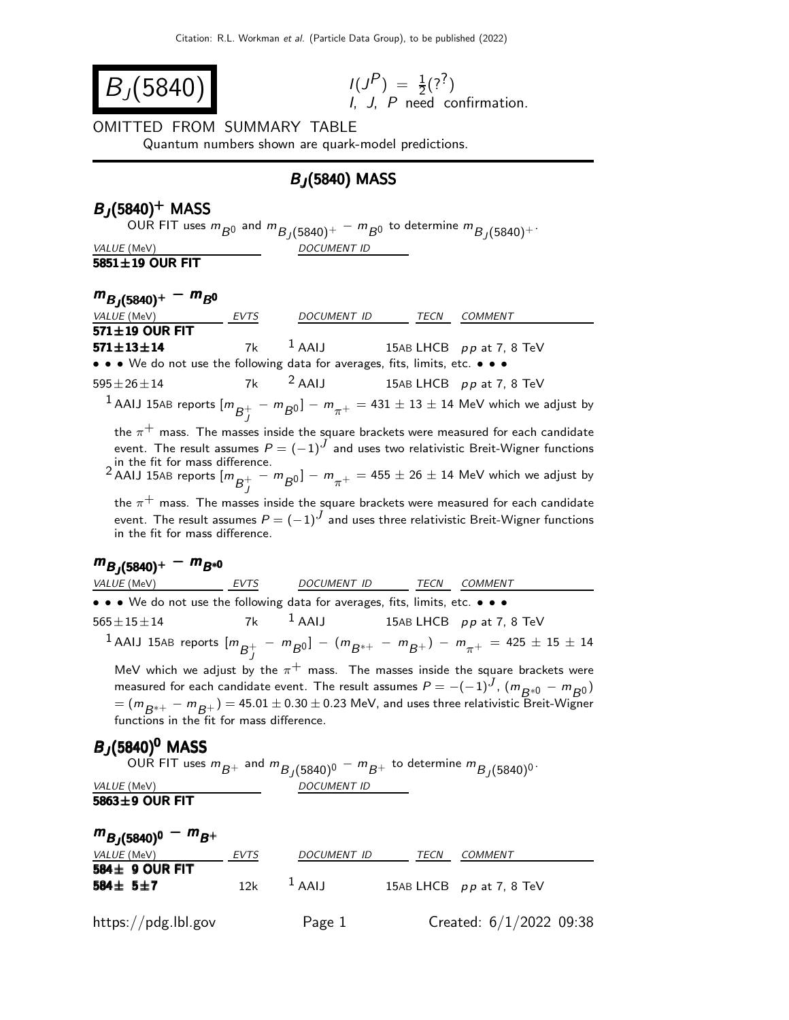$$
B_J(5840) \qquad \qquad \frac{I(J)}{I}
$$

$$
I(J^{P}) = \frac{1}{2}(?^{?})
$$
  
*I*, *J*, *P* need confirmation.

#### OMITTED FROM SUMMARY TABLE

Quantum numbers shown are quark-model predictions.

### BJ (5840) MASS

### $B_J(5840)^+$  MASS

OUR FIT uses  $m_{\bar{B}^0}$  and  $m_{\bar{B}_J(5840)^+}-m_{\bar{B}^0}$  to determine  $m_{\bar{B}_J(5840)^+}.$ VALUE (MeV) DOCUMENT ID

#### 5851±19 OUR FIT

## $m_{B_J(5840)^+} - m_{B^0}$

| VALUE (MeV)                                                                   | EVTS | DOCUMENT ID | TECN | <b>COMMENT</b>                                                                                                                                                                                                                                                                                                         |
|-------------------------------------------------------------------------------|------|-------------|------|------------------------------------------------------------------------------------------------------------------------------------------------------------------------------------------------------------------------------------------------------------------------------------------------------------------------|
| $571 \pm 19$ OUR FIT                                                          |      |             |      |                                                                                                                                                                                                                                                                                                                        |
| $571 \pm 13 \pm 14$                                                           | 7k   | $1$ AAIJ    |      | 15AB LHCB pp at 7, 8 TeV                                                                                                                                                                                                                                                                                               |
| • • • We do not use the following data for averages, fits, limits, etc. • • • |      |             |      |                                                                                                                                                                                                                                                                                                                        |
| $595 \pm 26 \pm 14$                                                           | 7k   | $2$ AAIJ    |      | 15AB LHCB $pp$ at 7, 8 TeV                                                                                                                                                                                                                                                                                             |
|                                                                               |      |             |      | $^{-1}$ AAIJ 15AB reports $[m_{\overline{B}_{+}^{+}} - m_{\overline{B}0}]-m_{\pi^+}=431\pm13\pm14$ MeV which we adjust by                                                                                                                                                                                              |
| in the fit for mass difference.                                               |      |             |      | the $\pi^+$ mass. The masses inside the square brackets were measured for each candidate<br>event. The result assumes $P = (-1)^J$ and uses two relativistic Breit-Wigner functions<br>$^2$ AAIJ 15AB reports $[m_{\overline{B}_{+}^{+}} - m_{\overline{B}0}]-m_{\pi^+}=$ 455 $\pm$ 26 $\pm$ 14 MeV which we adjust by |
| in the fit for mass difference.                                               |      |             |      | the $\pi^+$ mass. The masses inside the square brackets were measured for each candidate<br>event. The result assumes $P = (-1)^J$ and uses three relativistic Breit-Wigner functions                                                                                                                                  |
| $m_{B,(5840)^+} - m_{B^{*0}}$                                                 |      |             |      |                                                                                                                                                                                                                                                                                                                        |
| <i>VALUE</i> (MeV)                                                            | EVTS | DOCUMENT ID | TECN | <b>COMMENT</b>                                                                                                                                                                                                                                                                                                         |
| • • • We do not use the following data for averages, fits, limits, etc. • • • |      |             |      |                                                                                                                                                                                                                                                                                                                        |
| $565 \pm 15 \pm 14$                                                           | 7k   | $1$ AAIJ    |      | 15AB LHCB $pp$ at 7, 8 TeV                                                                                                                                                                                                                                                                                             |
|                                                                               |      |             |      | $^{-1}$ AAIJ 15AB reports $[m_{\overline{B}^+_I} - m_{\overline{B}^0}]- (m_{\overline{B}^{*+}} - m_{\overline{B}^+}) - m_{\pi^+} = 425 \pm 15 \pm 14$                                                                                                                                                                  |

MeV which we adjust by the  $\pi^+$  mass. The masses inside the square brackets were measured for each candidate event. The result assumes  $P = -(-1)^J$ ,  $(m_{B*0} - m_{B0})$  $=$   $(m_{B^{*+}} - m_{B^{+}}) = 45.01 \pm 0.30 \pm 0.23$  MeV, and uses three relativistic Breit-Wigner functions in the fit for mass difference.

### $B_J(5840)^0$  MASS

OUR FIT uses  $m_{\overline{B}+}$  and  $m_{\overline{B}_{J}(5840)^{0}}-m_{\overline{B}+}$  to determine  $m_{\overline{B}_{J}(5840)^{0}}.$ VALUE (MeV) DOCUMENT ID

5863±9 OUR FIT

| $m_{B,(5840)^0} - m_{B^+}$                 |             |                    |      |                            |  |  |  |
|--------------------------------------------|-------------|--------------------|------|----------------------------|--|--|--|
| VALUE (MeV)                                | <b>EVTS</b> | <b>DOCUMENT ID</b> | TECN | COMMENT                    |  |  |  |
| $584 \pm 9$ OUR FIT<br>584 $\pm$ 5 $\pm$ 7 | 12k         | $1$ AAIJ           |      | 15AB LHCB $pp$ at 7, 8 TeV |  |  |  |
| $\frac{https://pdg.1b1.gov}{%$             |             | Page 1             |      | Created: $6/1/2022$ 09:38  |  |  |  |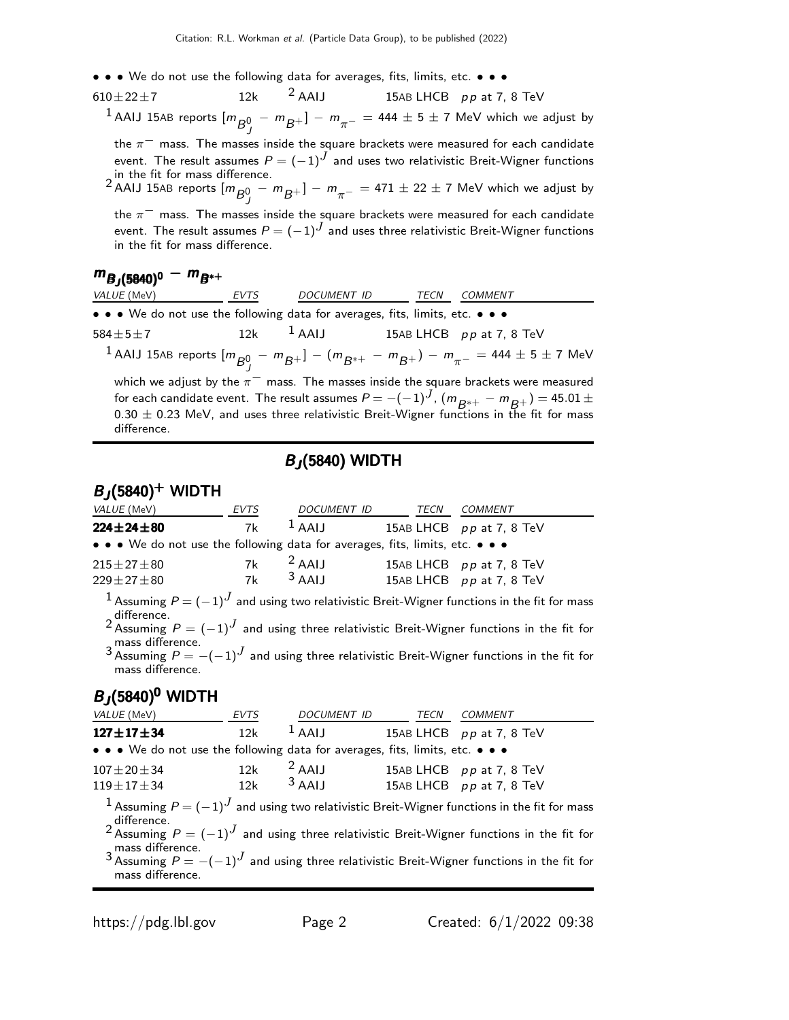- • We do not use the following data for averages, fits, limits, etc. • •
- $610\pm22\pm7$  12k <sup>2</sup> AAIJ 15AB LHCB pp at 7, 8 TeV

 $^1$  AAIJ 15AB reports  $[m_{\overline{B}0}^0 - m_{\overline{B}^+}] - m_{\pi^-} =$  444  $\pm$  5  $\pm$  7 MeV which we adjust by

the  $\pi^-$  mass. The masses inside the square brackets were measured for each candidate event. The result assumes  $P = (-1)^J$  and uses two relativistic Breit-Wigner functions

in the fit for mass difference.<br><sup>2</sup> AAIJ 15AB reports  $[m_{\overline{B}0}^0 - m_{\overline{B}^+}] - m_{\pi^-} = 471 \pm 22 \pm 7$  MeV which we adjust by

the  $\pi^-$  mass. The masses inside the square brackets were measured for each candidate event. The result assumes  $P = (-1)^J$  and uses three relativistic Breit-Wigner functions in the fit for mass difference.

# $m_{B_J(5840)^0} - m_{B^{*+}}$

| <i>VALUE</i> (MeV)                                                            | <b>EVTS</b> | DOCUMENT ID | TECN | <b>COMMENT</b>                                                                                                                                  |
|-------------------------------------------------------------------------------|-------------|-------------|------|-------------------------------------------------------------------------------------------------------------------------------------------------|
| • • • We do not use the following data for averages, fits, limits, etc. • • • |             |             |      |                                                                                                                                                 |
| $584 \pm 5 \pm 7$                                                             |             |             |      | 12k $1$ AAIJ 15AB LHCB $pp$ at 7, 8 TeV                                                                                                         |
|                                                                               |             |             |      | $1$ AAIJ 15AB reports $[m_{\overline{B}0} - m_{\overline{B}+}] - (m_{\overline{B}^{*+}} - m_{\overline{B}+}) - m_{\pi^-} = 444 \pm 5 \pm 7$ MeV |
|                                                                               |             |             |      | which we adjust by the $\pi^-$ mass. The masses inside the square brackets were measured                                                        |
|                                                                               |             |             |      | for each candidate event. The result assumes $P = -(-1)^J$ , $(m_{R^{*+}} - m_{R^{+}}) = 45.01 \pm 10^{-4}$                                     |
| difference.                                                                   |             |             |      | $0.30 \pm 0.23$ MeV, and uses three relativistic Breit-Wigner functions in the fit for mass                                                     |
|                                                                               |             |             |      |                                                                                                                                                 |

### BJ (5840) WIDTH

### $B_J(5840)^+$  WIDTH

| <i>VALUE</i> (MeV)                                                            | EVTS | DOCUMENT ID | TECN | COMMENT                    |
|-------------------------------------------------------------------------------|------|-------------|------|----------------------------|
| $224 \pm 24 \pm 80$                                                           | 7k   | $1$ AAIJ    |      | 15AB LHCB $pp$ at 7, 8 TeV |
| • • • We do not use the following data for averages, fits, limits, etc. • • • |      |             |      |                            |
| $215 \pm 27 \pm 80$                                                           | 7k   | $2$ AAIJ    |      | 15AB LHCB pp at 7, 8 TeV   |
| $229 + 27 + 80$                                                               | 7k   | $3$ AAIJ    |      | 15AB LHCB $pp$ at 7, 8 TeV |
|                                                                               |      |             |      |                            |

 $1$  Assuming  $P = (-1)^J$  and using two relativistic Breit-Wigner functions in the fit for mass  $2$  difference.<br> $^2$  Assuming  $P = (-1)^J$  and using three relativistic Breit-Wigner functions in the fit for

mass difference.

3 Assuming  $P = -(-1)^J$  and using three relativistic Breit-Wigner functions in the fit for mass difference.

### $B_J(5840)^0$  WIDTH

| <i>VALUE</i> (MeV)                                                            | <b>EVTS</b> | DOCUMENT ID TECN | <b>COMMENT</b>                                                                                                  |
|-------------------------------------------------------------------------------|-------------|------------------|-----------------------------------------------------------------------------------------------------------------|
| $127 \pm 17 \pm 34$                                                           | 12k         | $1$ AAIJ         | 15AB LHCB $pp$ at 7, 8 TeV                                                                                      |
| • • • We do not use the following data for averages, fits, limits, etc. • • • |             |                  |                                                                                                                 |
| $107 \pm 20 \pm 34$                                                           |             | $12k$ $2$ AAIJ   | 15AB LHCB pp at 7, 8 TeV                                                                                        |
| $119 \pm 17 \pm 34$                                                           |             | $12k$ $3$ AALI   | 15AB LHCB pp at 7, 8 TeV                                                                                        |
|                                                                               |             |                  | $1$ Assuming $P = (-1)^J$ and using two relativistic Breit-Wigner functions in the fit for mass                 |
|                                                                               |             |                  | difference.<br>2 Assuming $P = (-1)^J$ and using three relativistic Breit-Wigner functions in the fit for       |
|                                                                               |             |                  | mass difference.<br>3 Assuming $P = -(-1)^J$ and using three relativistic Breit-Wigner functions in the fit for |
| mass difference.                                                              |             |                  |                                                                                                                 |